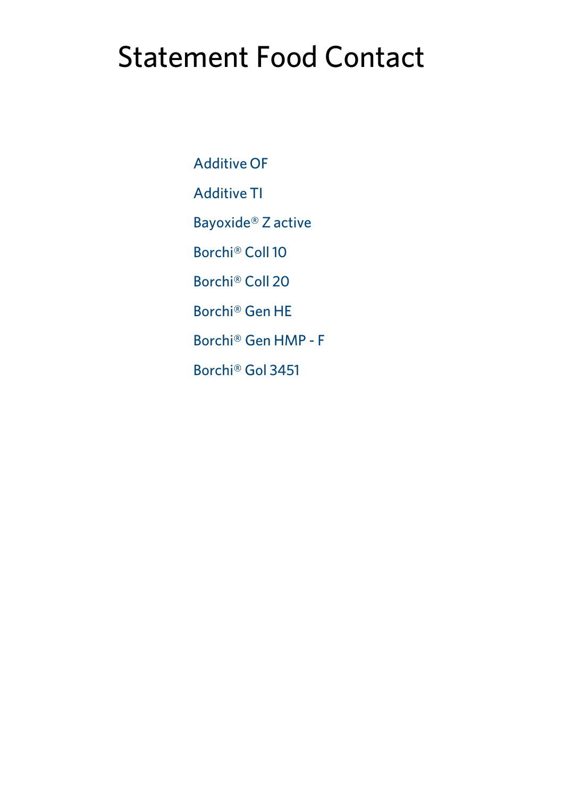# Statement Food Contact

[Additive](#page-1-0) OF [Additive](#page-2-0) TI [Bayoxide®](#page-3-0) Z active [Borchi®](#page-4-0) Coll 10 [Borchi®](#page-5-0) Coll 20 [Borchi®](#page--1-0) Gen HE [Borchi®](#page-6-0) Gen HMP - F [Borchi®](#page-7-0) Gol 3451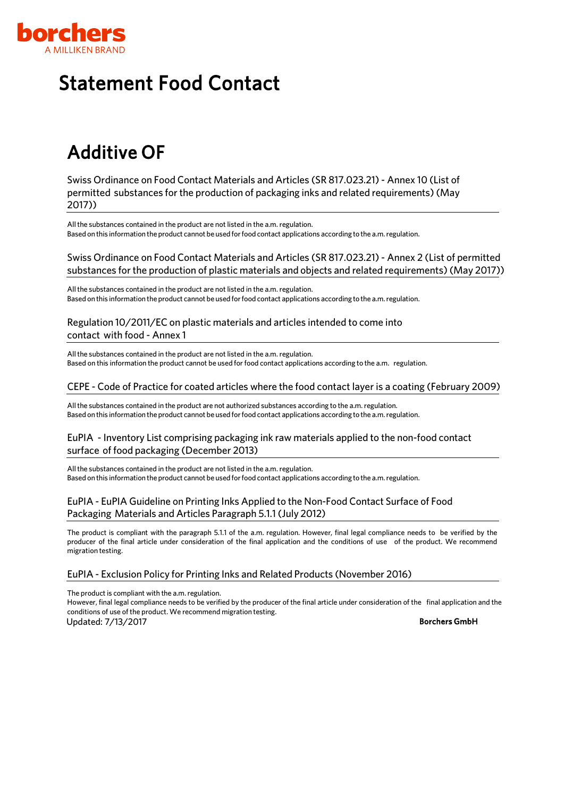

# <span id="page-1-0"></span>Additive OF

Swiss Ordinance on Food Contact Materials and Articles (SR 817.023.21) - Annex 10 (List of permitted substances for the production of packaging inks and related requirements)(May 2017))

All the substances contained in the product are not listed in the a.m. regulation. Based on this information the product cannot be used for food contact applications according to the a.m. regulation.

#### Swiss Ordinance on Food Contact Materials and Articles (SR 817.023.21) - Annex 2 (List of permitted substances for the production of plastic materials and objects and related requirements)(May 2017))

All the substances contained in the product are not listed in the a.m. regulation. Based onthis informationtheproduct cannot be usedforfood contact applications according to the a.m.regulation.

#### Regulation 10/2011/EC on plastic materials and articles intended to come into contact with food - Annex 1

All the substances contained in the product are not listed in the a.m. regulation. Based on this information the product cannot be used for food contact applications according to the a.m. regulation.

#### CEPE - Code of Practice for coated articles where the food contact layer is a coating (February 2009)

All the substances contained in the product are not authorized substances according to the a.m. regulation. Based on this information the product cannot be used for food contact applications according to the a.m. regulation.

#### EuPIA - Inventory List comprising packaging ink raw materials applied to the non-food contact surface of food packaging (December 2013)

All the substances contained in the product are not listed in the a.m. regulation. Based on this information the product cannot be used for food contact applications according to the a.m. regulation.

#### EuPIA - EuPIA Guideline on Printing Inks Applied to the Non-Food Contact Surface of Food Packaging Materials and Articles Paragraph 5.1.1 (July 2012)

The product is compliant with the paragraph 5.1.1 of the a.m. regulation. However, final legal compliance needs to be verified by the producer of the final article under consideration of the final application and the conditions of use of the product. We recommend migration testing.

#### EuPIA - Exclusion Policy for Printing Inks and Related Products (November 2016)

The product is compliant with the a.m. regulation.

However, final legal compliance needs to be verified by the producer of the final article under consideration of the final application and the conditions of use of the product. We recommend migration testing.

Updated: 7/13/2017 Borchers GmbH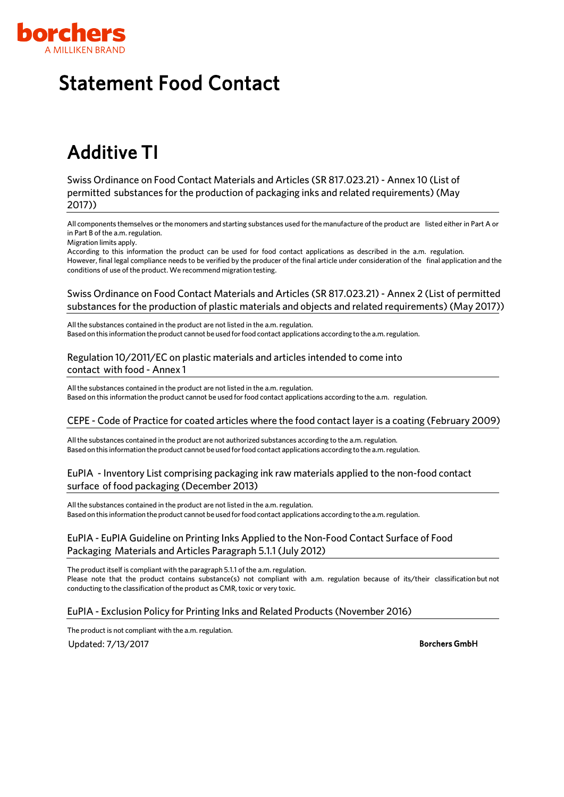

# <span id="page-2-0"></span>Additive TI

Swiss Ordinance on Food Contact Materials and Articles (SR 817.023.21) - Annex 10 (List of permitted substances for the production of packaging inks and related requirements)(May 2017))

All components themselves orthe monomers and starting substances used forthe manufacture of the product are listed either in Part A or in Part B of the a.m. regulation.

Migration limits apply.

According to this information the product can be used for food contact applications as described in the a.m. regulation. However, final legal compliance needs to be verified by the producer of the final article under consideration of the final application and the conditions of use of the product. We recommend migration testing.

#### Swiss Ordinance on Food Contact Materials and Articles (SR 817.023.21) - Annex 2 (List of permitted substances for the production of plastic materials and objects and related requirements)(May 2017))

All the substances contained in the product are not listed in the a.m. regulation. Based onthis informationtheproduct cannot be usedforfood contact applications according to the a.m.regulation.

#### Regulation 10/2011/EC on plastic materials and articles intended to come into contact with food - Annex 1

All the substances contained in the product are not listed in the a.m. regulation. Based on this information the product cannot be used for food contact applications according to the a.m. regulation.

#### CEPE - Code of Practice for coated articles where the food contact layer is a coating (February 2009)

All the substances contained in the product are not authorized substances according to the a.m. regulation. Based on this information the product cannot be used for food contact applications according to the a.m. regulation.

#### EuPIA - Inventory List comprising packaging ink raw materials applied to the non-food contact surface of food packaging (December 2013)

All the substances contained in the product are not listed in the a.m. regulation. Based on this information the product cannot be used for food contact applications according to the a.m. regulation.

#### EuPIA - EuPIA Guideline on Printing Inks Applied to the Non-Food Contact Surface of Food Packaging Materials and Articles Paragraph 5.1.1 (July 2012)

The product itself is compliant with the paragraph 5.1.1 of the a.m. regulation. Please note that the product contains substance(s) not compliant with a.m. regulation because of its/their classification but not conducting to the classification of the product as CMR, toxic or very toxic.

#### EuPIA - Exclusion Policy for Printing Inks and Related Products (November 2016)

The product is not compliant with the a.m. regulation. Updated: 7/13/2017 Borchers GmbH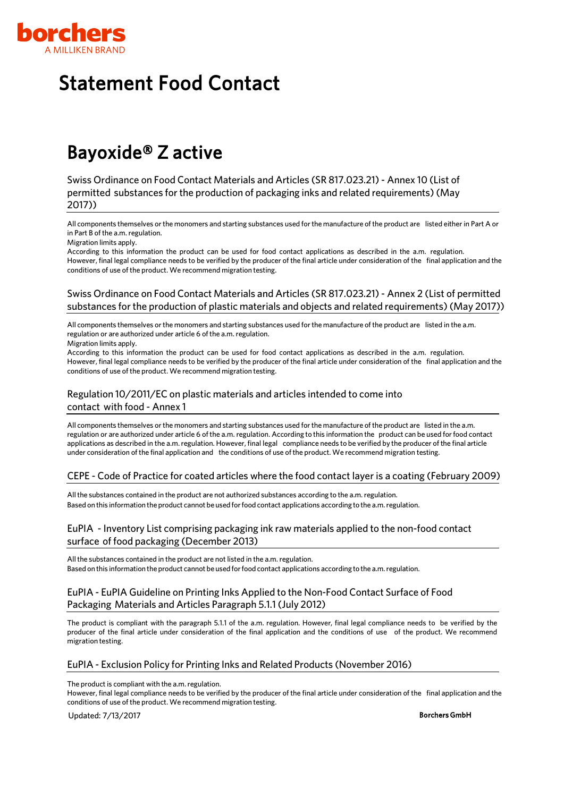

## <span id="page-3-0"></span>Bayoxide® Z active

Swiss Ordinance on Food Contact Materials and Articles (SR 817.023.21) - Annex 10 (List of permitted substances for the production of packaging inks and related requirements)(May 2017))

All components themselves orthe monomers and starting substances used forthe manufacture of the product are listed either in Part A or in Part B of the a.m. regulation.

Migration limits apply.

According to this information the product can be used for food contact applications as described in the a.m. regulation. However, final legal compliance needs to be verified by the producer of the final article under consideration of the final application and the conditions of use of the product. We recommend migration testing.

#### Swiss Ordinance on Food Contact Materials and Articles (SR 817.023.21) - Annex 2 (List of permitted substances for the production of plastic materials and objects and related requirements)(May 2017))

All components themselves or the monomers and starting substances used for the manufacture of the product are listed in the a.m. regulation or are authorized under article 6 of the a.m. regulation.

Migration limits apply.

According to this information the product can be used for food contact applications as described in the a.m. regulation. However, final legal compliance needs to be verified by the producer of the final article under consideration of the final application and the conditions of use of the product. We recommend migration testing.

#### Regulation 10/2011/EC on plastic materials and articles intended to come into contact with food - Annex 1

All components themselves or the monomers and starting substances used for the manufacture of the product are listed in the a.m. regulation or are authorized under article 6 ofthe a.m. regulation. According to this information the product can be used for food contact applications as described in the a.m.regulation. However, final legal compliance needs to be verified by the producer ofthe final article under consideration of the final application and the conditions of use ofthe product. We recommend migration testing.

#### CEPE - Code of Practice for coated articles where the food contact layer is a coating (February 2009)

Allthe substances contained in the product are not authorized substances according to the a.m.regulation. Based on this information the product cannot be used for food contact applications according to the a.m. regulation.

#### EuPIA - Inventory List comprising packaging ink raw materials applied to the non-food contact surface of food packaging (December 2013)

All the substances contained in the product are not listed in the a.m. regulation. Based on this information the product cannot be used for food contact applications according to the a.m. regulation.

#### EuPIA - EuPIA Guideline on Printing Inks Applied to the Non-Food Contact Surface of Food Packaging Materials and Articles Paragraph 5.1.1 (July 2012)

The product is compliant with the paragraph 5.1.1 of the a.m. regulation. However, final legal compliance needs to be verified by the producer of the final article under consideration of the final application and the conditions of use of the product. We recommend migration testing.

#### EuPIA - Exclusion Policy for Printing Inks and Related Products (November 2016)

The product is compliant with the a.m. regulation.

However, final legal compliance needs to be verified by the producer of the final article under consideration of the final application and the conditions of use of the product. We recommend migration testing.

Updated: 7/13/2017 Borchers GmbH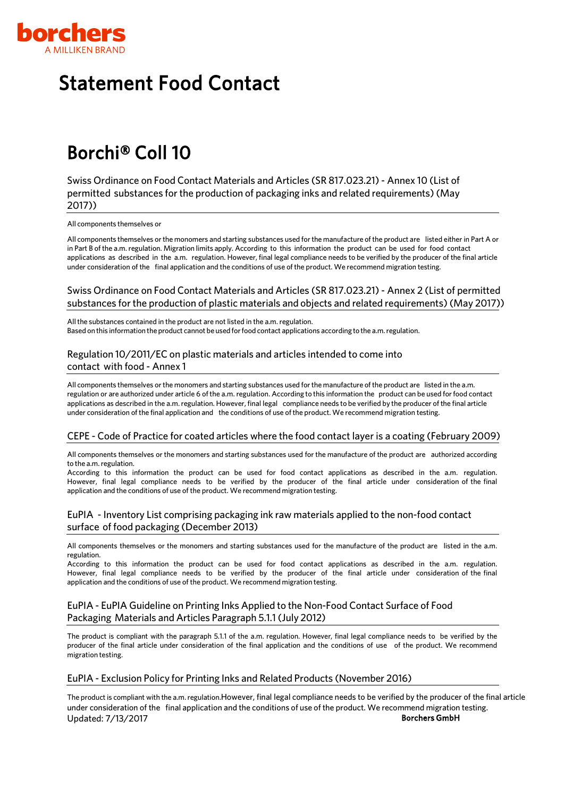

# <span id="page-4-0"></span>Statement Food Contact

## Borchi® Coll 10

Swiss Ordinance on Food Contact Materials and Articles (SR 817.023.21) - Annex 10 (List of permitted substances for the production of packaging inks and related requirements)(May 2017))

All components themselves or

All components themselves orthe monomers and starting substances used forthe manufacture of the product are listed either in Part A or in Part B of the a.m. regulation. Migration limits apply. According to this information the product can be used for food contact applications as described in the a.m. regulation. However, final legal compliance needs to be verified by the producer of the final article under consideration of the final application and the conditions of use of the product. We recommend migration testing.

#### Swiss Ordinance on Food Contact Materials and Articles (SR 817.023.21) - Annex 2 (List of permitted substances for the production of plastic materials and objects and related requirements)(May 2017))

All the substances contained in the product are not listed in the a.m. regulation. Based onthis informationtheproduct cannot be usedforfood contact applications according to the a.m.regulation.

#### Regulation 10/2011/EC on plastic materials and articles intended to come into contact with food - Annex 1

All components themselves or the monomers and starting substances used for the manufacture of the product are listed in the a.m. regulation or are authorized under article 6 ofthe a.m. regulation. According to this information the product can be used for food contact applications as described in the a.m. regulation. However, final legal compliance needs to be verified by the producer of the final article under consideration of the final application and the conditions of use ofthe product. We recommend migration testing.

#### CEPE - Code of Practice for coated articles where the food contact layer is a coating (February 2009)

All components themselves or the monomers and starting substances used for the manufacture of the product are authorized according to the a.m. regulation.

According to this information the product can be used for food contact applications as described in the a.m. regulation. However, final legal compliance needs to be verified by the producer of the final article under consideration of the final application and the conditions of use of the product. We recommend migration testing.

#### EuPIA - Inventory List comprising packaging ink raw materials applied to the non-food contact surface of food packaging (December 2013)

All components themselves or the monomers and starting substances used for the manufacture of the product are listed in the a.m. regulation.

According to this information the product can be used for food contact applications as described in the a.m. regulation. However, final legal compliance needs to be verified by the producer of the final article under consideration of the final application and the conditions of use of the product. We recommend migration testing.

#### EuPIA - EuPIA Guideline on Printing Inks Applied to the Non-Food Contact Surface of Food Packaging Materials and Articles Paragraph 5.1.1 (July 2012)

The product is compliant with the paragraph 5.1.1 of the a.m. regulation. However, final legal compliance needs to be verified by the producer of the final article under consideration of the final application and the conditions of use of the product. We recommend migration testing.

#### EuPIA - Exclusion Policy for Printing Inks and Related Products (November 2016)

The product is compliant with the a.m.regulation.However, final legal compliance needs to be verified by the producer of the final article under consideration of the final application and the conditions of use of the product. We recommend migration testing. Updated: 7/13/2017 Borchers GmbH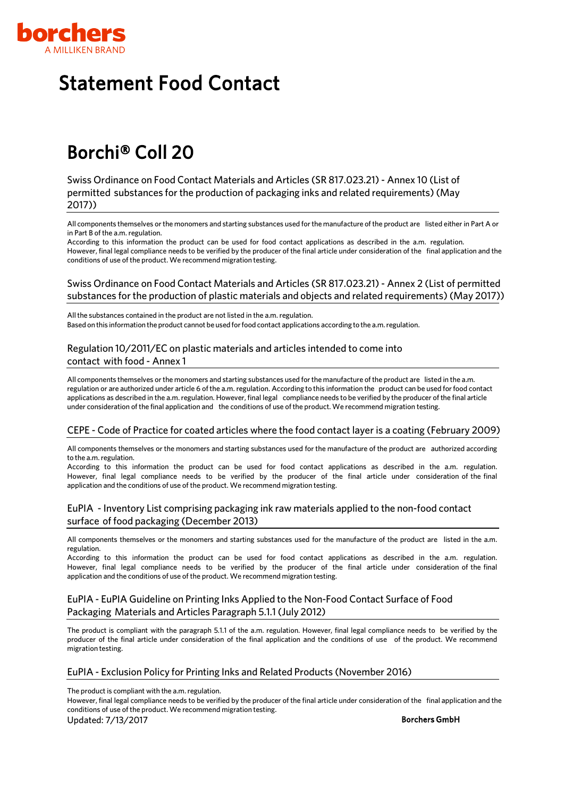

## <span id="page-5-0"></span>Borchi® Coll 20

Swiss Ordinance on Food Contact Materials and Articles (SR 817.023.21) - Annex 10 (List of permitted substances for the production of packaging inks and related requirements)(May 2017))

All components themselves orthe monomers and starting substances used forthe manufacture of the product are listed either in Part A or in Part B of the a.m. regulation.

According to this information the product can be used for food contact applications as described in the a.m. regulation. However, final legal compliance needs to be verified by the producer of the final article under consideration of the final application and the conditions of use of the product. We recommend migration testing.

#### Swiss Ordinance on Food Contact Materials and Articles (SR 817.023.21) - Annex 2 (List of permitted substances for the production of plastic materials and objects and related requirements)(May 2017))

All the substances contained in the product are not listed in the a.m. regulation. Based onthis informationtheproduct cannot be usedforfood contact applications according to the a.m.regulation.

#### Regulation 10/2011/EC on plastic materials and articles intended to come into contact with food - Annex 1

All components themselves or the monomers and starting substances used for the manufacture of the product are listed in the a.m. regulation or are authorized under article 6 ofthe a.m. regulation. According to this information the product can be used for food contact applications as described in the a.m.regulation. However, final legal compliance needs to be verified by the producer ofthe final article under consideration of the final application and the conditions of use ofthe product. We recommend migration testing.

#### CEPE - Code of Practice for coated articles where the food contact layer is a coating (February 2009)

All components themselves or the monomers and starting substances used for the manufacture of the product are authorized according to the a.m. regulation.

According to this information the product can be used for food contact applications as described in the a.m. regulation. However, final legal compliance needs to be verified by the producer of the final article under consideration of the final application and the conditions of use of the product. We recommend migration testing.

#### EuPIA - Inventory List comprising packaging ink raw materials applied to the non-food contact surface of food packaging (December 2013)

All components themselves or the monomers and starting substances used for the manufacture of the product are listed in the a.m. regulation.

According to this information the product can be used for food contact applications as described in the a.m. regulation. However, final legal compliance needs to be verified by the producer of the final article under consideration of the final application and the conditions of use of the product. We recommend migration testing.

#### EuPIA - EuPIA Guideline on Printing Inks Applied to the Non-Food Contact Surface of Food Packaging Materials and Articles Paragraph 5.1.1 (July 2012)

The product is compliant with the paragraph 5.1.1 of the a.m. regulation. However, final legal compliance needs to be verified by the producer of the final article under consideration of the final application and the conditions of use of the product. We recommend migration testing.

#### EuPIA - Exclusion Policy for Printing Inks and Related Products (November 2016)

The product is compliant with the a.m. regulation.

However, final legal compliance needs to be verified by the producer of the final article under consideration of the final application and the conditions of use of the product. We recommend migration testing.

Updated: 7/13/2017 Borchers GmbH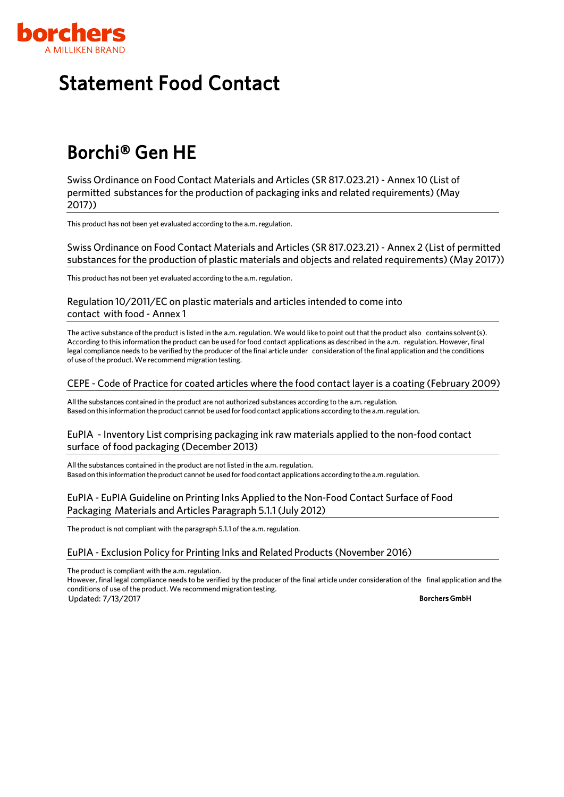

# <span id="page-6-0"></span>Borchi® Gen HE

Swiss Ordinance on Food Contact Materials and Articles (SR 817.023.21)- Annex 10 (List of permitted substances for the production of packaging inks and related requirements)(May 2017))

This product has not been yet evaluated according to the a.m. regulation.

Swiss Ordinance on Food Contact Materials and Articles (SR 817.023.21)- Annex 2 (List of permitted substances for the production of plastic materials and objects and related requirements)(May 2017))

This product has not been yet evaluated according to the a.m. regulation.

Regulation 10/2011/EC on plastic materials and articles intended to come into contact with food - Annex 1

The active substance of the product is listed in the a.m. regulation. We would like to point out that the product also contains solvent(s). According to this information the product can be used forfood contact applications as described in the a.m. regulation. However, final legal compliance needs to be verified by the producer of the final article under consideration of the final application and the conditions of use of the product. We recommend migration testing.

#### CEPE - Code of Practice for coated articles where the food contact layer is a coating (February 2009)

Allthe substances contained in the product are not authorized substances according to the a.m.regulation. Based on this information the product cannot be used for food contact applications according to the a.m. regulation.

#### EuPIA - Inventory List comprising packaging ink raw materials applied to the non-food contact surface of food packaging (December 2013)

All the substances contained in the product are not listed in the a.m. regulation. Based onthis informationtheproduct cannot be usedforfood contact applications according to the a.m.regulation.

#### EuPIA - EuPIA Guideline on Printing Inks Applied to the Non-Food Contact Surface of Food Packaging Materials and Articles Paragraph 5.1.1 (July 2012)

The product is not compliant with the paragraph 5.1.1 of the a.m. regulation.

#### EuPIA - Exclusion Policy for Printing Inks and Related Products (November 2016)

The product is compliant with the a.m. regulation.

However, final legal compliance needs to be verified by the producer of the final article under consideration of the final application and the conditions of use of the product. We recommend migration testing. Updated: 7/13/2017 Borchers GmbH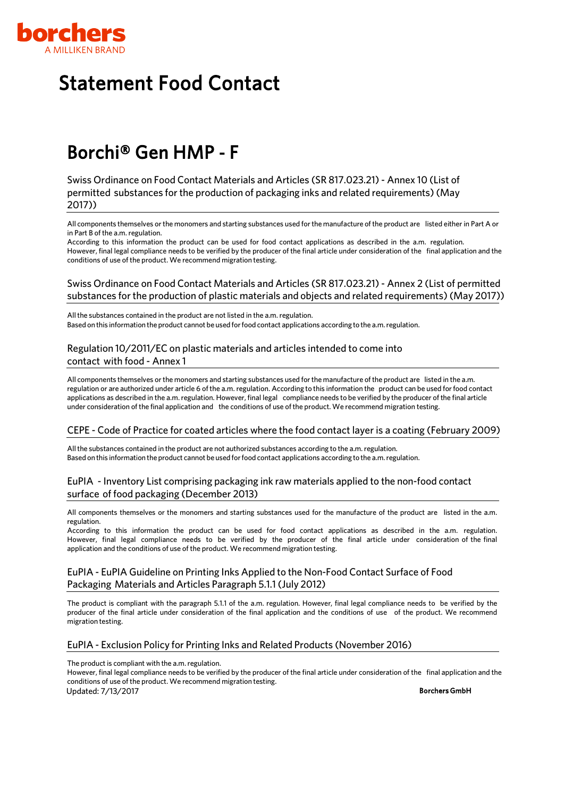

### <span id="page-7-0"></span>Borchi® Gen HMP ‐ F

Swiss Ordinance on Food Contact Materials and Articles (SR 817.023.21)- Annex 10 (List of permitted substances for the production of packaging inks and related requirements)(May 2017))

All components themselves orthe monomers and starting substances used forthe manufacture of the product are listed either in Part A or in Part B of the a.m. regulation.

According to this information the product can be used for food contact applications as described in the a.m. regulation. However, final legal compliance needs to be verified by the producer of the final article under consideration of the final application and the conditions of use of the product. We recommend migration testing.

#### Swiss Ordinance on Food Contact Materials and Articles (SR 817.023.21)- Annex 2 (List of permitted substances for the production of plastic materials and objects and related requirements)(May 2017))

All the substances contained in the product are not listed in the a.m. regulation. Based on this information the product cannot be used for food contact applications according to the a.m. regulation.

#### Regulation 10/2011/EC on plastic materials and articles intended to come into contact with food - Annex 1

All components themselves or the monomers and starting substances used for the manufacture of the product are listed in the a.m. regulation or are authorized under article 6 ofthe a.m. regulation. According to this information the product can be used for food contact applications as described in the a.m.regulation. However, final legal compliance needs to be verified by the producer ofthe final article under consideration of the final application and the conditions of use ofthe product. We recommend migration testing.

#### CEPE - Code of Practice for coated articles where the food contact layer is a coating (February 2009)

All the substances contained in the product are not authorized substances according to the a.m. regulation. Based on this information the product cannot be used for food contact applications according to the a.m. regulation.

#### EuPIA - Inventory List comprising packaging ink raw materials applied to the non-food contact surface of food packaging (December 2013)

All components themselves or the monomers and starting substances used for the manufacture of the product are listed in the a.m. regulation.

According to this information the product can be used for food contact applications as described in the a.m. regulation. However, final legal compliance needs to be verified by the producer of the final article under consideration of the final application and the conditions of use of the product. We recommend migration testing.

#### EuPIA - EuPIA Guideline on Printing Inks Applied to the Non-Food Contact Surface of Food Packaging Materials and Articles Paragraph 5.1.1 (July 2012)

The product is compliant with the paragraph 5.1.1 of the a.m. regulation. However, final legal compliance needs to be verified by the producer of the final article under consideration of the final application and the conditions of use of the product. We recommend migration testing.

#### EuPIA - Exclusion Policy for Printing Inks and Related Products (November 2016)

The product is compliant with the a.m. regulation.

However, final legal compliance needs to be verified by the producer of the final article under consideration of the final application and the conditions of use of the product. We recommend migration testing. Updated: 7/13/2017 Borchers GmbH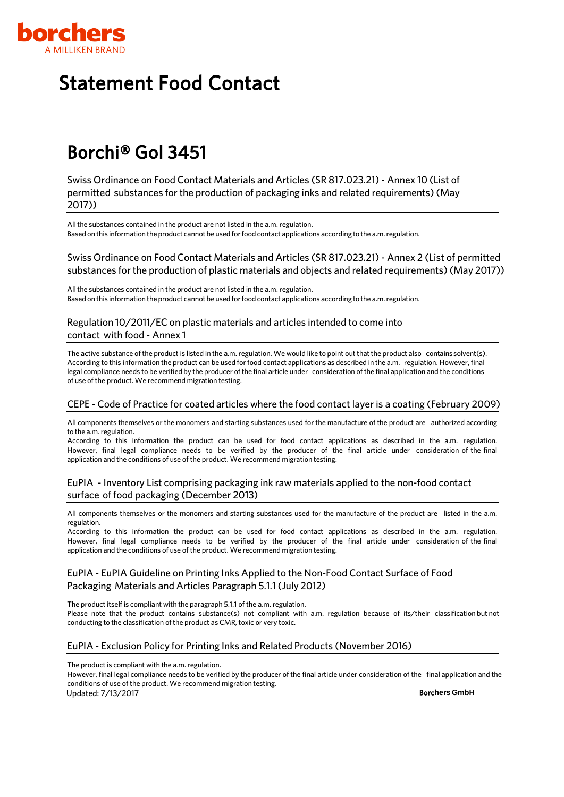

# Borchi® Gol 3451

Swiss Ordinance on Food Contact Materials and Articles (SR 817.023.21)- Annex 10 (List of permitted substances for the production of packaging inks and related requirements)(May 2017))

All the substances contained in the product are not listed in the a.m. regulation. Based on this information the product cannot be used for food contact applications according to the a.m. regulation.

#### Swiss Ordinance on Food Contact Materials and Articles (SR 817.023.21)- Annex 2 (List of permitted substances for the production of plastic materials and objects and related requirements)(May 2017))

All the substances contained in the product are not listed in the a.m. regulation. Based onthis informationtheproduct cannot be usedforfood contact applications according to the a.m.regulation.

#### Regulation 10/2011/EC on plastic materials and articles intended to come into contact with food - Annex 1

The active substance of the product is listed in the a.m. regulation. We would like to point out that the product also contains solvent(s). According to this information the product can be used forfood contact applications as described in the a.m. regulation. However, final legal compliance needs to be verified by the producer of the final article under consideration of the final application and the conditions of use of the product. We recommend migration testing.

#### CEPE - Code of Practice for coated articles where the food contact layer is a coating (February 2009)

All components themselves or the monomers and starting substances used for the manufacture of the product are authorized according to the a.m. regulation.

According to this information the product can be used for food contact applications as described in the a.m. regulation. However, final legal compliance needs to be verified by the producer of the final article under consideration of the final application and the conditions of use of the product. We recommend migration testing.

#### EuPIA - Inventory List comprising packaging ink raw materials applied to the non-food contact surface of food packaging (December 2013)

All components themselves or the monomers and starting substances used for the manufacture of the product are listed in the a.m. regulation.

According to this information the product can be used for food contact applications as described in the a.m. regulation. However, final legal compliance needs to be verified by the producer of the final article under consideration of the final application and the conditions of use of the product. We recommend migration testing.

#### EuPIA - EuPIA Guideline on Printing Inks Applied to the Non-Food Contact Surface of Food Packaging Materials and Articles Paragraph 5.1.1 (July 2012)

The product itself is compliant with the paragraph 5.1.1 of the a.m. regulation.

Please note that the product contains substance(s) not compliant with a.m. regulation because of its/their classification but not conducting to the classification of the product as CMR, toxic or very toxic.

#### EuPIA - Exclusion Policy for Printing Inks and Related Products (November 2016)

The product is compliant with the a.m. regulation.

However, final legal compliance needs to be verified by the producer of the final article under consideration of the final application and the conditions of use of the product. We recommend migration testing. Updated: 7/13/2017 Borc**hers GmbH**